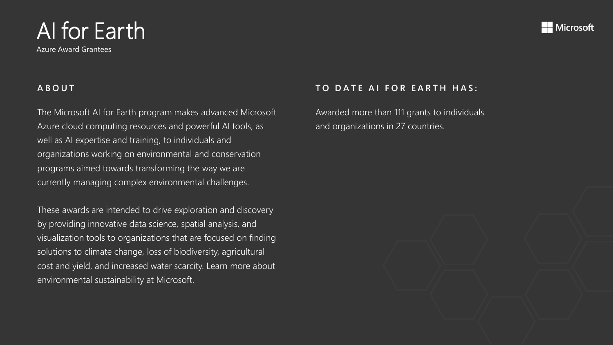Azure Award Grantees

### **A B O U T**

The Microsoft AI for Earth program makes advanced Microsoft Azure cloud computing resources and powerful AI tools, as well as AI expertise and training, to individuals and organizations working on environmental and conservation programs aimed towards transforming the way we are currently managing complex environmental challenges.

These awards are intended to drive exploration and discovery by providing innovative data science, spatial analysis, and visualization tools to organizations that are focused on finding solutions to climate change, loss of biodiversity, agricultural cost and yield, and increased water scarcity. Learn more about environmental sustainability at Microsoft.

### **TO DATE AI FOR EARTH HAS:**

Awarded more than 111 grants to individuals and organizations in 27 countries.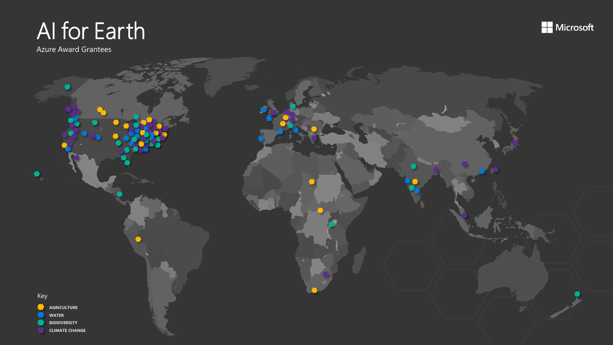Azure Award Grantees



**Microsoft**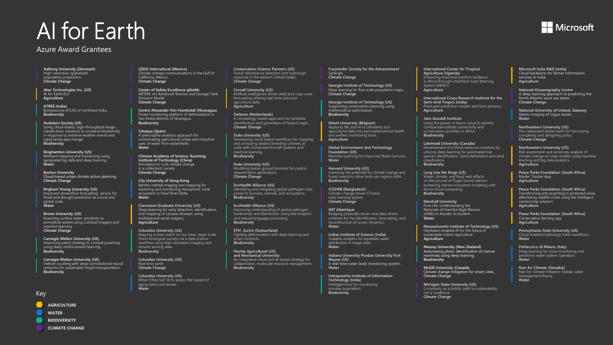#### Azure Award Grantees

**Aalborg University (Denmark)** High-resolution spatialized population projections. **Climate Change**

**Aker Technologies Inc. (US)** AI for Earth/Esri **Agriculture**

**ATREE (India)** Bioresources ATLAS of northeast India. **Biodiversity**

**Audubon Society (US)** Using cloud-based, high-throughput image classification solutions to conserve biodiversity in response to extreme weather events and rapid landscape change. **Biodiversity**

**Binghamton University (US)** Wetland mapping and monitoring using geospatial big data and deep learning. **Water**

**Boston University** Cloud-based urban climate action planning. **Climate Change**

**Brigham Young University (US)** Improved streamflow forecasting service for flood and drought prediction at a local and global scale. **Water**

**Brown University (US)** Assessing surface water sensitivity to permafrost extent using CubeSat imagery and machine learning. **Climate Change**

**Carnegie Mellon University (US)** Improving patrol strategy to combat poaching using deep reinforcement learning. **Biodiversity**

**Carnegie Mellon University (US)** Vehicle counting with deep convolutional neural networks for sustainable freight transportation. **Biodiversity**

Key

- **AGRICULTURE**
- **WATER**
- **BIODIVERSITY**
- **CLIMATE CHANGE**

**CEDO Intercultural (Mexico)** Climate change communications in the Gulf of California, Mexico. **Climate Change**

**Center of Safety Excellence gGmbh** ARTEM: An Advanced Reactor and Storage Tank Emission Model. **Climate Change**

**Centro Alexander Von Humboldt (Nicaragua)** Forest monitoring platform of deforestation in two forest districts of Nicaragua. **Biodiversity**

**Cetaqua (Spain)** A prescriptive analytics approach for orchestrating agricultural, urban and industrial uses of water from watersheds. **Water**

**Chinese Academy of Science, Kunming Institute of Technology (China)** Simulation to curb climate change in a collectivist society. **Climate Change**

**City University of Hong Kong** Benthic habitat imaging and mapping for exploring and monitoring mesophotic coral ecosystem in Pearl River Delta **Water**

**Claremont Graduate University (US)** Deep learning for early detection, identification, and mapping of cassava diseases using multispectral aerial imagery. **Agriculture**

**Columbia University (US)** Keeping a close watch on our trees: large-scale forest ecological surveys via a data science workflow using high-resolution imaging and remote sensing data. **Biodiversity**

**Columbia University (US)** Real time earth **Climate Change**

**Columbia University (US)** What if they fail? AI to assess the hazard of aging dams and levees **Water**

**Conservation Science Partners (US)** Forest disturbance detection and hydrologic response in the western United States. **Climate Change**

**Cornell University (US)** Artificial intelligence driven yield and crop cover forecasting utilizing real-time precision agriculture data. **Agriculture**

**Deltares (Netherlands)** A climatology-based approach for landslide identification and generation of hazard maps. **Climate Change**

**Duke University (US)** Developing cloud-based workflows for mapping and censusing seabird breeding colonies at scale with Unmanned Aircraft Systems and machine learning. **Biodiversity**

**Duke University (US)** Modeling below ground biomass for carbon sequestration applications. **Climate Change**

**EcoHealth Alliance (US)** Identifying and mitigating global pathogen risks posed to humans, animals, and ecosystems. **Biodiversity**

**EcoHealth Alliance (US)** Improving understanding of global pathogen biodiversity and distribution using text analytics and natural language processing. **Biodiversity**

**ETH- Zurich (Switzerland)** Fighting deforestation with deep learning and smart contracts. **Biodiversity**

**Florida Agricultural (US) and Mechanical University** An integrative cloud and AI-based strategy for collaborative, multiscale resource management. **Biodiversity**

**Fraunhofer Society for the Advancement** SynErgie **Climate Change**

**Georgia Institute of Technology (US)** Deep learning for fine-scale population maps. **Climate Change**

**Georgia Institute of Technology (US)** Supporting conservation planning using mathematical optimization. **Biodiversity**

**Ghent University (Belgium)** Applying ML and AI to ultimately turn agricultural data into automated animal health and welfare monitoring tools. **Agriculture**

**Global Environment and Technology Foundation (US)** Machine Learning for Improved Water Services. **Water**

**Harvard University (US)** Assessing the potential for climate change and forest insects to drive land-use regime shifts. **Biodiversity**

**ICDDRB (Bangladesh)** Climate-change driven Cholera early warning system. **Climate Change**

**IMT Atlantique** Bridging physically-driven and data-driven schemes for the identification, forecasting, and reconstruction of ocean dynamics. **Water**

**Indian Institute of Science (India)** Scalable analytics for equitable water distribution in mega cities. **Water**

**Indiana University-Purdue University Fort Wayne (US)** A real-time water body monitoring system. **Water**

**Indraprastha Institute of Information Technology (India)** Intelligent tool for monitoring monkey population. **Biodiversity**

**International Center for Tropical Agriculture (Uganda)** Enhancing food and nutrition resilience in Africa through a Nutrition Early Warning System (NEWS). **Agriculture**

**International Crops Research Institute for the Semi-Arid Tropics (India)** Plant pest prediction models and farm advisory. **Agriculture**

**Jane Goodall Institute**  Using the power of Azure cloud to identify chimpanzee habitat connectivity and conservation priorities in Africa. **Biodiversity**

**Lakehead University (Canada)** Development of a forest resource inventory by utilizing deep learning for automated tree species identification, stand delineation and land classification. **Biodiversity**

**Long Live the Kings (US)** Water, climate, and food web effects on the survival of Puget Sound salmon: bolstering marine ecosystem modeling with Azure cloud computing. **Biodiversity**

**Marshall University** Pure Life: Understanding the Rationale of Harmful Algal Blooms (HABs) in Aquatic Ecosystem **Water** 

**Massachusetts Institute of Technology (US)** Hardware-enabled AI for the future of sustainable indoor agriculture. **Agriculture** 

**Massey University (New Zealand)** Automating photo identification of marine mammals using deep learning. **Biodiversity**

**McGill University (Canada)** Climate change mitigation for smart cities. **Climate Change**

**Michigan State University (US)** Complexity as a holistic path to sustainability, not a roadblock. **Climate Change**

**Microsoft India R&D (India)** Cloud backbone for farmer information services in India. **Agriculture**

**National Oceanography Centre** A deep learning approach to predicting the North Atlantic wave sea states **Climate Change**

**National University of Ireland, Galaway** Stereo imaging of rogue waves. **Water**

**Northeastern University (US)** The networked digital earth for harnessing complexity and designing policy. **Climate Change**

**Northeastern University (US)** Risk assessment and sensitivity analysis of climate change on crop models using machine learning and big data analytics. **Agriculture**

**Peace Parks Foundation (South Africa)** Master Tracker App **Agriculture**

**Peace Parks Foundation (South Africa)** Transforming anti-poaching in protected areas affected by wildlife crime using the intelligent camera trap solution. **Agriculture**

**Peace Parks Foundation (South Africa)** Conservation farming app **Agriculture**

**Pennsylvania State University (US)** Cloud-enabled hydrology mesh workflows. **Water**

**Politecnico di Milano (Italy)** Deep learning for snow monitoring and predictive water system operation. **Water**

**Rain for Climate (Slovakia)** Rain for Climate Initiative: holistic water management theory. **Water**

#### $\blacksquare$  Microsoft